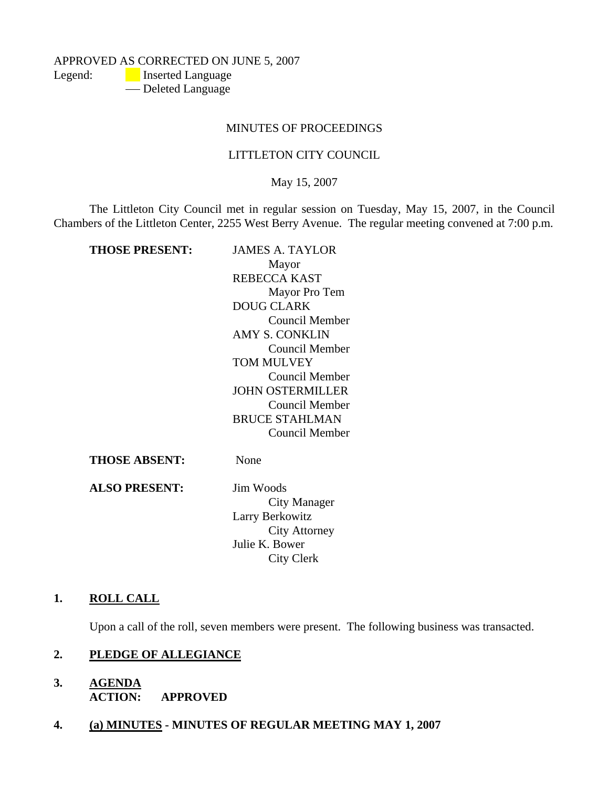APPROVED AS CORRECTED ON JUNE 5, 2007

Legend: **Inserted Language** 

- Deleted Language

# MINUTES OF PROCEEDINGS

# LITTLETON CITY COUNCIL

May 15, 2007

The Littleton City Council met in regular session on Tuesday, May 15, 2007, in the Council Chambers of the Littleton Center, 2255 West Berry Avenue. The regular meeting convened at 7:00 p.m.

| THOSE PRESENT: | JAMES A. TAYLOR         |
|----------------|-------------------------|
|                | Mayor                   |
|                | REBECCA KAST            |
|                | Mayor Pro Tem           |
|                | <b>DOUG CLARK</b>       |
|                | Council Member          |
|                | AMY S. CONKLIN          |
|                | <b>Council Member</b>   |
|                | TOM MULVEY              |
|                | Council Member          |
|                | <b>JOHN OSTERMILLER</b> |
|                | Council Member          |
|                | <b>BRUCE STAHLMAN</b>   |
|                | Council Member          |
| THOSE ABSENT:  | None                    |
|                |                         |

**ALSO PRESENT:** Jim Woods

City Manager Larry Berkowitz City Attorney Julie K. Bower City Clerk

# **1. ROLL CALL**

Upon a call of the roll, seven members were present. The following business was transacted.

# **2. PLEDGE OF ALLEGIANCE**

- **3. AGENDA ACTION: APPROVED**
- **4. (a) MINUTES MINUTES OF REGULAR MEETING MAY 1, 2007**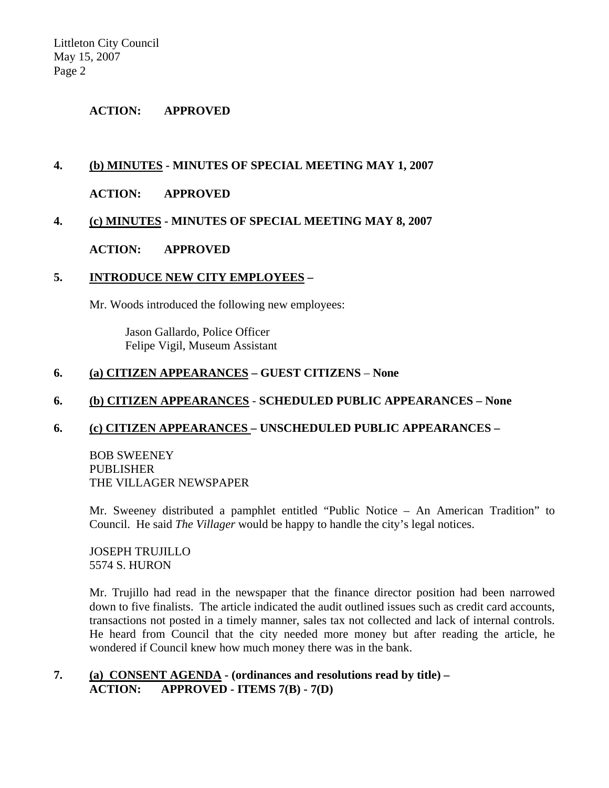## **ACTION: APPROVED**

# **4. (b) MINUTES - MINUTES OF SPECIAL MEETING MAY 1, 2007**

## **ACTION: APPROVED**

# **4. (c) MINUTES - MINUTES OF SPECIAL MEETING MAY 8, 2007**

### **ACTION: APPROVED**

#### **5. INTRODUCE NEW CITY EMPLOYEES –**

Mr. Woods introduced the following new employees:

 Jason Gallardo, Police Officer Felipe Vigil, Museum Assistant

## **6. (a) CITIZEN APPEARANCES – GUEST CITIZENS** – **None**

### **6. (b) CITIZEN APPEARANCES** - **SCHEDULED PUBLIC APPEARANCES – None**

#### **6. (c) CITIZEN APPEARANCES – UNSCHEDULED PUBLIC APPEARANCES –**

BOB SWEENEY PUBLISHER THE VILLAGER NEWSPAPER

Mr. Sweeney distributed a pamphlet entitled "Public Notice – An American Tradition" to Council. He said *The Villager* would be happy to handle the city's legal notices.

JOSEPH TRUJILLO 5574 S. HURON

Mr. Trujillo had read in the newspaper that the finance director position had been narrowed down to five finalists. The article indicated the audit outlined issues such as credit card accounts, transactions not posted in a timely manner, sales tax not collected and lack of internal controls. He heard from Council that the city needed more money but after reading the article, he wondered if Council knew how much money there was in the bank.

**7. (a) CONSENT AGENDA - (ordinances and resolutions read by title) – ACTION: APPROVED - ITEMS 7(B) - 7(D)**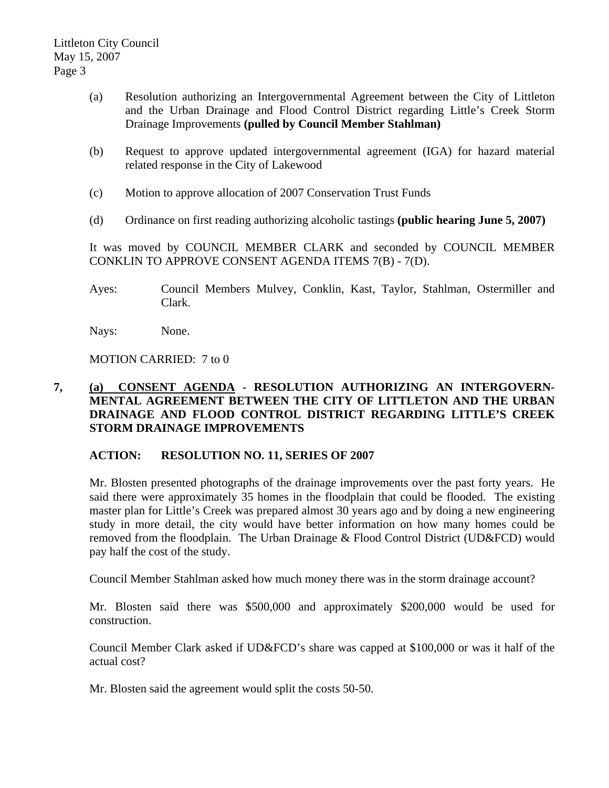- (a) Resolution authorizing an Intergovernmental Agreement between the City of Littleton and the Urban Drainage and Flood Control District regarding Little's Creek Storm Drainage Improvements **(pulled by Council Member Stahlman)**
- (b) Request to approve updated intergovernmental agreement (IGA) for hazard material related response in the City of Lakewood
- (c) Motion to approve allocation of 2007 Conservation Trust Funds
- (d) Ordinance on first reading authorizing alcoholic tastings **(public hearing June 5, 2007)**

It was moved by COUNCIL MEMBER CLARK and seconded by COUNCIL MEMBER CONKLIN TO APPROVE CONSENT AGENDA ITEMS 7(B) - 7(D).

Ayes: Council Members Mulvey, Conklin, Kast, Taylor, Stahlman, Ostermiller and Clark.

Nays: None.

MOTION CARRIED: 7 to 0

# **7, (a) CONSENT AGENDA - RESOLUTION AUTHORIZING AN INTERGOVERN-MENTAL AGREEMENT BETWEEN THE CITY OF LITTLETON AND THE URBAN DRAINAGE AND FLOOD CONTROL DISTRICT REGARDING LITTLE'S CREEK STORM DRAINAGE IMPROVEMENTS**

# **ACTION: RESOLUTION NO. 11, SERIES OF 2007**

Mr. Blosten presented photographs of the drainage improvements over the past forty years. He said there were approximately 35 homes in the floodplain that could be flooded. The existing master plan for Little's Creek was prepared almost 30 years ago and by doing a new engineering study in more detail, the city would have better information on how many homes could be removed from the floodplain. The Urban Drainage & Flood Control District (UD&FCD) would pay half the cost of the study.

Council Member Stahlman asked how much money there was in the storm drainage account?

Mr. Blosten said there was \$500,000 and approximately \$200,000 would be used for construction.

Council Member Clark asked if UD&FCD's share was capped at \$100,000 or was it half of the actual cost?

Mr. Blosten said the agreement would split the costs 50-50.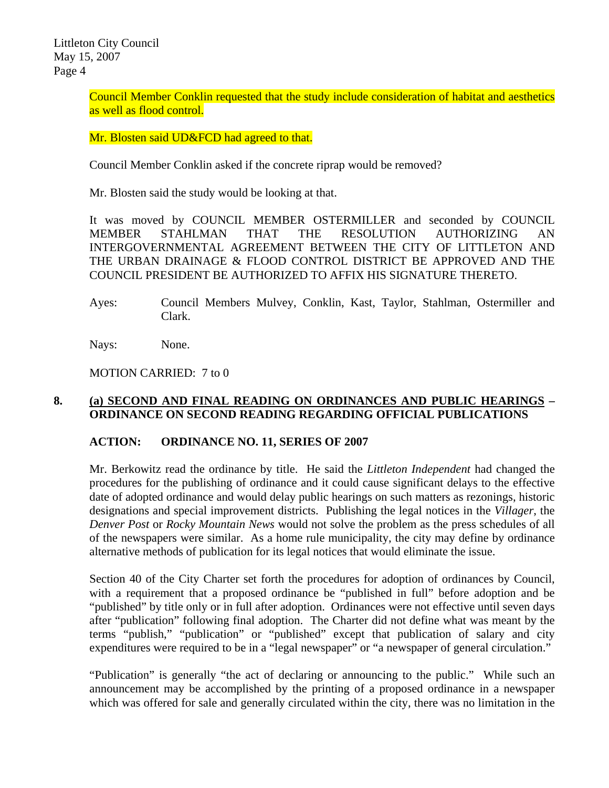Council Member Conklin requested that the study include consideration of habitat and aesthetics as well as flood control.

Mr. Blosten said UD&FCD had agreed to that.

Council Member Conklin asked if the concrete riprap would be removed?

Mr. Blosten said the study would be looking at that.

It was moved by COUNCIL MEMBER OSTERMILLER and seconded by COUNCIL MEMBER STAHLMAN THAT THE RESOLUTION AUTHORIZING AN INTERGOVERNMENTAL AGREEMENT BETWEEN THE CITY OF LITTLETON AND THE URBAN DRAINAGE & FLOOD CONTROL DISTRICT BE APPROVED AND THE COUNCIL PRESIDENT BE AUTHORIZED TO AFFIX HIS SIGNATURE THERETO.

Ayes: Council Members Mulvey, Conklin, Kast, Taylor, Stahlman, Ostermiller and Clark.

Nays: None.

MOTION CARRIED: 7 to 0

# **8. (a) SECOND AND FINAL READING ON ORDINANCES AND PUBLIC HEARINGS – ORDINANCE ON SECOND READING REGARDING OFFICIAL PUBLICATIONS**

# **ACTION: ORDINANCE NO. 11, SERIES OF 2007**

Mr. Berkowitz read the ordinance by title. He said the *Littleton Independent* had changed the procedures for the publishing of ordinance and it could cause significant delays to the effective date of adopted ordinance and would delay public hearings on such matters as rezonings, historic designations and special improvement districts. Publishing the legal notices in the *Villager*, the *Denver Post* or *Rocky Mountain News* would not solve the problem as the press schedules of all of the newspapers were similar. As a home rule municipality, the city may define by ordinance alternative methods of publication for its legal notices that would eliminate the issue.

Section 40 of the City Charter set forth the procedures for adoption of ordinances by Council, with a requirement that a proposed ordinance be "published in full" before adoption and be "published" by title only or in full after adoption. Ordinances were not effective until seven days after "publication" following final adoption. The Charter did not define what was meant by the terms "publish," "publication" or "published" except that publication of salary and city expenditures were required to be in a "legal newspaper" or "a newspaper of general circulation."

"Publication" is generally "the act of declaring or announcing to the public." While such an announcement may be accomplished by the printing of a proposed ordinance in a newspaper which was offered for sale and generally circulated within the city, there was no limitation in the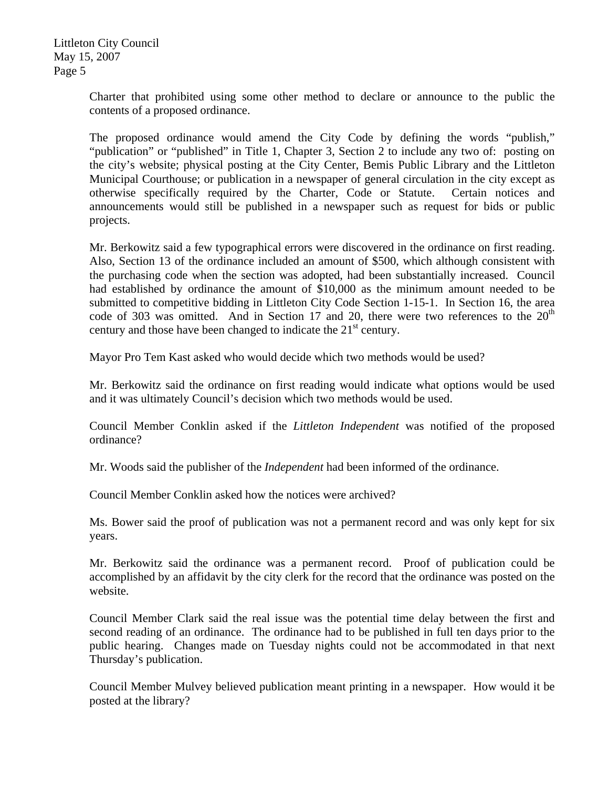> Charter that prohibited using some other method to declare or announce to the public the contents of a proposed ordinance.

> The proposed ordinance would amend the City Code by defining the words "publish," "publication" or "published" in Title 1, Chapter 3, Section 2 to include any two of: posting on the city's website; physical posting at the City Center, Bemis Public Library and the Littleton Municipal Courthouse; or publication in a newspaper of general circulation in the city except as otherwise specifically required by the Charter, Code or Statute. Certain notices and announcements would still be published in a newspaper such as request for bids or public projects.

> Mr. Berkowitz said a few typographical errors were discovered in the ordinance on first reading. Also, Section 13 of the ordinance included an amount of \$500, which although consistent with the purchasing code when the section was adopted, had been substantially increased. Council had established by ordinance the amount of \$10,000 as the minimum amount needed to be submitted to competitive bidding in Littleton City Code Section 1-15-1. In Section 16, the area code of 303 was omitted. And in Section 17 and 20, there were two references to the  $20<sup>th</sup>$ century and those have been changed to indicate the  $21<sup>st</sup>$  century.

Mayor Pro Tem Kast asked who would decide which two methods would be used?

Mr. Berkowitz said the ordinance on first reading would indicate what options would be used and it was ultimately Council's decision which two methods would be used.

Council Member Conklin asked if the *Littleton Independent* was notified of the proposed ordinance?

Mr. Woods said the publisher of the *Independent* had been informed of the ordinance.

Council Member Conklin asked how the notices were archived?

Ms. Bower said the proof of publication was not a permanent record and was only kept for six years.

Mr. Berkowitz said the ordinance was a permanent record. Proof of publication could be accomplished by an affidavit by the city clerk for the record that the ordinance was posted on the website.

Council Member Clark said the real issue was the potential time delay between the first and second reading of an ordinance. The ordinance had to be published in full ten days prior to the public hearing. Changes made on Tuesday nights could not be accommodated in that next Thursday's publication.

Council Member Mulvey believed publication meant printing in a newspaper. How would it be posted at the library?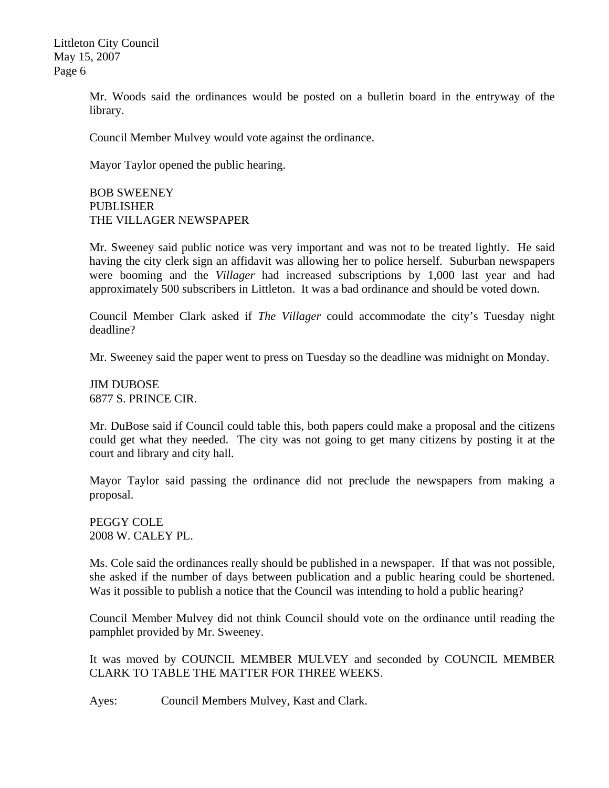> Mr. Woods said the ordinances would be posted on a bulletin board in the entryway of the library.

Council Member Mulvey would vote against the ordinance.

Mayor Taylor opened the public hearing.

BOB SWEENEY PUBLISHER THE VILLAGER NEWSPAPER

Mr. Sweeney said public notice was very important and was not to be treated lightly. He said having the city clerk sign an affidavit was allowing her to police herself. Suburban newspapers were booming and the *Villager* had increased subscriptions by 1,000 last year and had approximately 500 subscribers in Littleton. It was a bad ordinance and should be voted down.

Council Member Clark asked if *The Villager* could accommodate the city's Tuesday night deadline?

Mr. Sweeney said the paper went to press on Tuesday so the deadline was midnight on Monday.

JIM DUBOSE 6877 S. PRINCE CIR.

Mr. DuBose said if Council could table this, both papers could make a proposal and the citizens could get what they needed. The city was not going to get many citizens by posting it at the court and library and city hall.

Mayor Taylor said passing the ordinance did not preclude the newspapers from making a proposal.

PEGGY COLE 2008 W. CALEY PL.

Ms. Cole said the ordinances really should be published in a newspaper. If that was not possible, she asked if the number of days between publication and a public hearing could be shortened. Was it possible to publish a notice that the Council was intending to hold a public hearing?

Council Member Mulvey did not think Council should vote on the ordinance until reading the pamphlet provided by Mr. Sweeney.

It was moved by COUNCIL MEMBER MULVEY and seconded by COUNCIL MEMBER CLARK TO TABLE THE MATTER FOR THREE WEEKS.

Ayes: Council Members Mulvey, Kast and Clark.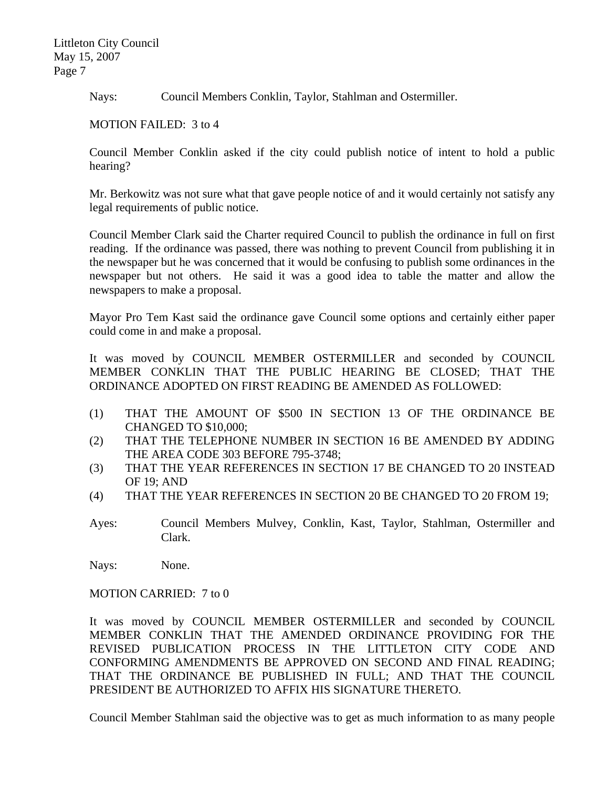Nays: Council Members Conklin, Taylor, Stahlman and Ostermiller.

MOTION FAILED: 3 to 4

Council Member Conklin asked if the city could publish notice of intent to hold a public hearing?

Mr. Berkowitz was not sure what that gave people notice of and it would certainly not satisfy any legal requirements of public notice.

Council Member Clark said the Charter required Council to publish the ordinance in full on first reading. If the ordinance was passed, there was nothing to prevent Council from publishing it in the newspaper but he was concerned that it would be confusing to publish some ordinances in the newspaper but not others. He said it was a good idea to table the matter and allow the newspapers to make a proposal.

Mayor Pro Tem Kast said the ordinance gave Council some options and certainly either paper could come in and make a proposal.

It was moved by COUNCIL MEMBER OSTERMILLER and seconded by COUNCIL MEMBER CONKLIN THAT THE PUBLIC HEARING BE CLOSED; THAT THE ORDINANCE ADOPTED ON FIRST READING BE AMENDED AS FOLLOWED:

- (1) THAT THE AMOUNT OF \$500 IN SECTION 13 OF THE ORDINANCE BE CHANGED TO \$10,000;
- (2) THAT THE TELEPHONE NUMBER IN SECTION 16 BE AMENDED BY ADDING THE AREA CODE 303 BEFORE 795-3748;
- (3) THAT THE YEAR REFERENCES IN SECTION 17 BE CHANGED TO 20 INSTEAD OF 19; AND
- (4) THAT THE YEAR REFERENCES IN SECTION 20 BE CHANGED TO 20 FROM 19;
- Ayes: Council Members Mulvey, Conklin, Kast, Taylor, Stahlman, Ostermiller and Clark.

Nays: None.

MOTION CARRIED: 7 to 0

It was moved by COUNCIL MEMBER OSTERMILLER and seconded by COUNCIL MEMBER CONKLIN THAT THE AMENDED ORDINANCE PROVIDING FOR THE REVISED PUBLICATION PROCESS IN THE LITTLETON CITY CODE AND CONFORMING AMENDMENTS BE APPROVED ON SECOND AND FINAL READING; THAT THE ORDINANCE BE PUBLISHED IN FULL; AND THAT THE COUNCIL PRESIDENT BE AUTHORIZED TO AFFIX HIS SIGNATURE THERETO.

Council Member Stahlman said the objective was to get as much information to as many people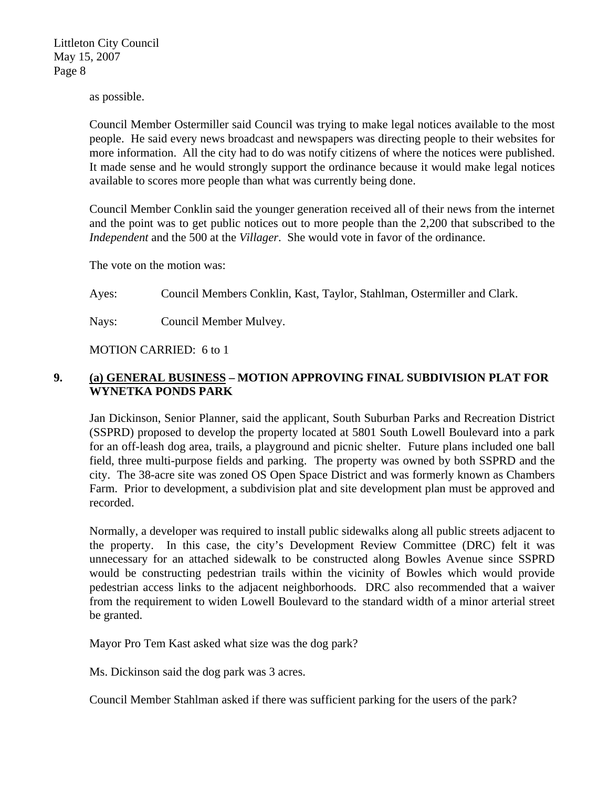as possible.

Council Member Ostermiller said Council was trying to make legal notices available to the most people. He said every news broadcast and newspapers was directing people to their websites for more information. All the city had to do was notify citizens of where the notices were published. It made sense and he would strongly support the ordinance because it would make legal notices available to scores more people than what was currently being done.

Council Member Conklin said the younger generation received all of their news from the internet and the point was to get public notices out to more people than the 2,200 that subscribed to the *Independent* and the 500 at the *Villager*. She would vote in favor of the ordinance.

The vote on the motion was:

Ayes: Council Members Conklin, Kast, Taylor, Stahlman, Ostermiller and Clark.

Nays: Council Member Mulvey.

MOTION CARRIED: 6 to 1

# **9. (a) GENERAL BUSINESS – MOTION APPROVING FINAL SUBDIVISION PLAT FOR WYNETKA PONDS PARK**

Jan Dickinson, Senior Planner, said the applicant, South Suburban Parks and Recreation District (SSPRD) proposed to develop the property located at 5801 South Lowell Boulevard into a park for an off-leash dog area, trails, a playground and picnic shelter. Future plans included one ball field, three multi-purpose fields and parking. The property was owned by both SSPRD and the city. The 38-acre site was zoned OS Open Space District and was formerly known as Chambers Farm. Prior to development, a subdivision plat and site development plan must be approved and recorded.

Normally, a developer was required to install public sidewalks along all public streets adjacent to the property. In this case, the city's Development Review Committee (DRC) felt it was unnecessary for an attached sidewalk to be constructed along Bowles Avenue since SSPRD would be constructing pedestrian trails within the vicinity of Bowles which would provide pedestrian access links to the adjacent neighborhoods. DRC also recommended that a waiver from the requirement to widen Lowell Boulevard to the standard width of a minor arterial street be granted.

Mayor Pro Tem Kast asked what size was the dog park?

Ms. Dickinson said the dog park was 3 acres.

Council Member Stahlman asked if there was sufficient parking for the users of the park?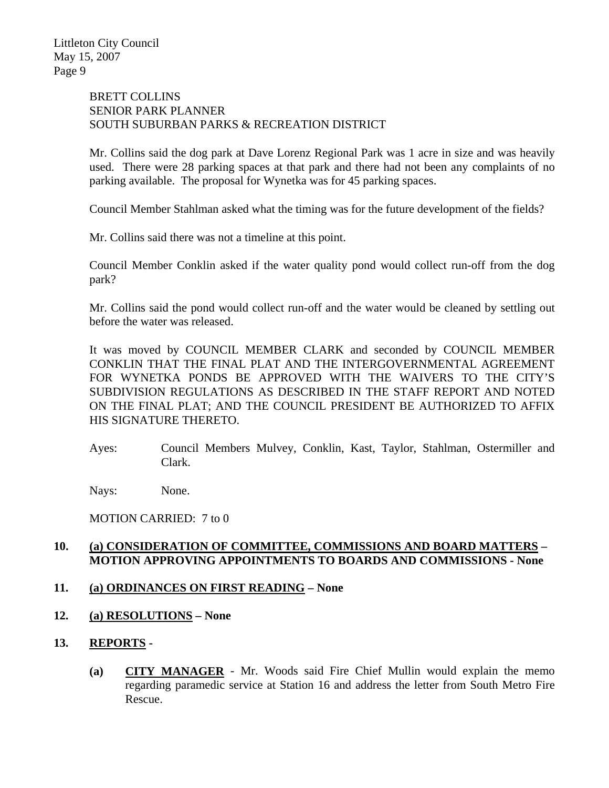# BRETT COLLINS SENIOR PARK PLANNER SOUTH SUBURBAN PARKS & RECREATION DISTRICT

Mr. Collins said the dog park at Dave Lorenz Regional Park was 1 acre in size and was heavily used. There were 28 parking spaces at that park and there had not been any complaints of no parking available. The proposal for Wynetka was for 45 parking spaces.

Council Member Stahlman asked what the timing was for the future development of the fields?

Mr. Collins said there was not a timeline at this point.

Council Member Conklin asked if the water quality pond would collect run-off from the dog park?

Mr. Collins said the pond would collect run-off and the water would be cleaned by settling out before the water was released.

It was moved by COUNCIL MEMBER CLARK and seconded by COUNCIL MEMBER CONKLIN THAT THE FINAL PLAT AND THE INTERGOVERNMENTAL AGREEMENT FOR WYNETKA PONDS BE APPROVED WITH THE WAIVERS TO THE CITY'S SUBDIVISION REGULATIONS AS DESCRIBED IN THE STAFF REPORT AND NOTED ON THE FINAL PLAT; AND THE COUNCIL PRESIDENT BE AUTHORIZED TO AFFIX HIS SIGNATURE THERETO.

Ayes: Council Members Mulvey, Conklin, Kast, Taylor, Stahlman, Ostermiller and Clark.

Nays: None.

MOTION CARRIED: 7 to 0

# **10. (a) CONSIDERATION OF COMMITTEE, COMMISSIONS AND BOARD MATTERS – MOTION APPROVING APPOINTMENTS TO BOARDS AND COMMISSIONS - None**

# **11. (a) ORDINANCES ON FIRST READING – None**

- **12. (a) RESOLUTIONS None**
- **13. REPORTS** 
	- **(a) CITY MANAGER** Mr. Woods said Fire Chief Mullin would explain the memo regarding paramedic service at Station 16 and address the letter from South Metro Fire Rescue.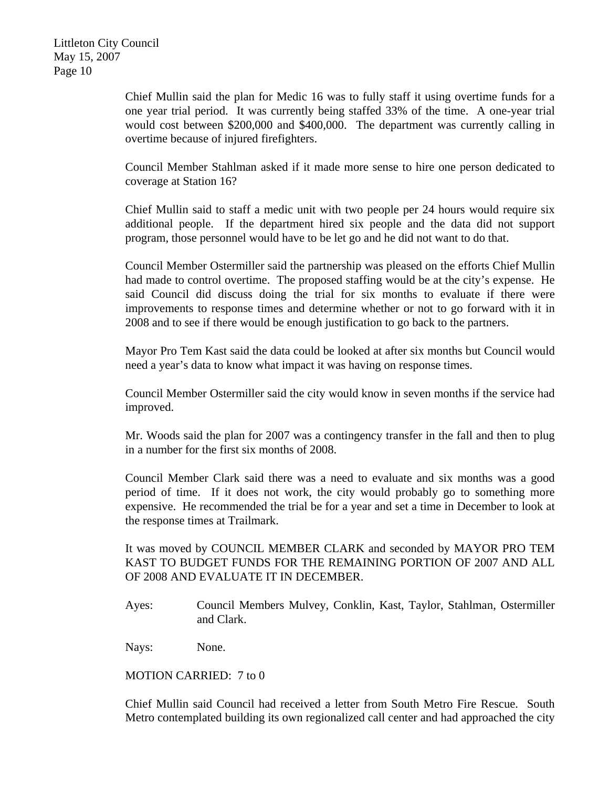Chief Mullin said the plan for Medic 16 was to fully staff it using overtime funds for a one year trial period. It was currently being staffed 33% of the time. A one-year trial would cost between \$200,000 and \$400,000. The department was currently calling in overtime because of injured firefighters.

Council Member Stahlman asked if it made more sense to hire one person dedicated to coverage at Station 16?

Chief Mullin said to staff a medic unit with two people per 24 hours would require six additional people. If the department hired six people and the data did not support program, those personnel would have to be let go and he did not want to do that.

Council Member Ostermiller said the partnership was pleased on the efforts Chief Mullin had made to control overtime. The proposed staffing would be at the city's expense. He said Council did discuss doing the trial for six months to evaluate if there were improvements to response times and determine whether or not to go forward with it in 2008 and to see if there would be enough justification to go back to the partners.

Mayor Pro Tem Kast said the data could be looked at after six months but Council would need a year's data to know what impact it was having on response times.

Council Member Ostermiller said the city would know in seven months if the service had improved.

Mr. Woods said the plan for 2007 was a contingency transfer in the fall and then to plug in a number for the first six months of 2008.

Council Member Clark said there was a need to evaluate and six months was a good period of time. If it does not work, the city would probably go to something more expensive. He recommended the trial be for a year and set a time in December to look at the response times at Trailmark.

It was moved by COUNCIL MEMBER CLARK and seconded by MAYOR PRO TEM KAST TO BUDGET FUNDS FOR THE REMAINING PORTION OF 2007 AND ALL OF 2008 AND EVALUATE IT IN DECEMBER.

Ayes: Council Members Mulvey, Conklin, Kast, Taylor, Stahlman, Ostermiller and Clark.

Nays: None.

MOTION CARRIED: 7 to 0

Chief Mullin said Council had received a letter from South Metro Fire Rescue. South Metro contemplated building its own regionalized call center and had approached the city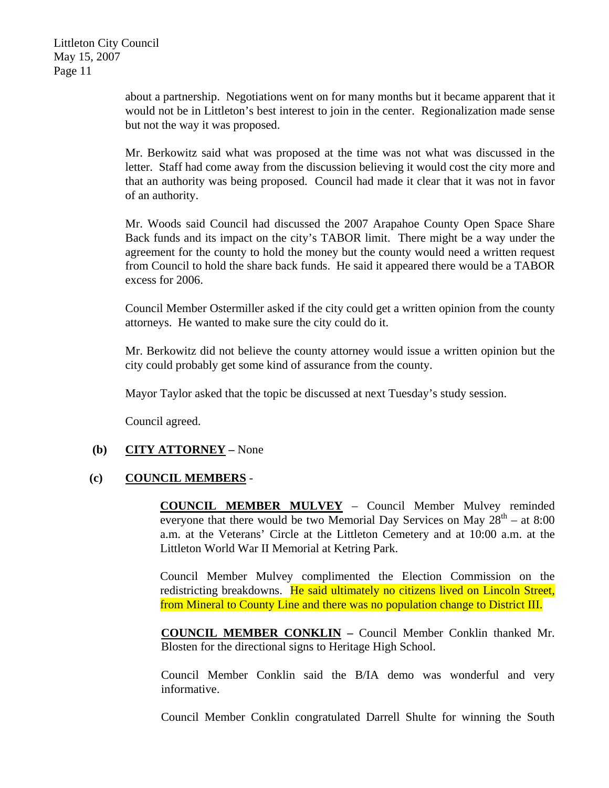about a partnership. Negotiations went on for many months but it became apparent that it would not be in Littleton's best interest to join in the center. Regionalization made sense but not the way it was proposed.

Mr. Berkowitz said what was proposed at the time was not what was discussed in the letter. Staff had come away from the discussion believing it would cost the city more and that an authority was being proposed. Council had made it clear that it was not in favor of an authority.

Mr. Woods said Council had discussed the 2007 Arapahoe County Open Space Share Back funds and its impact on the city's TABOR limit. There might be a way under the agreement for the county to hold the money but the county would need a written request from Council to hold the share back funds. He said it appeared there would be a TABOR excess for 2006.

Council Member Ostermiller asked if the city could get a written opinion from the county attorneys. He wanted to make sure the city could do it.

Mr. Berkowitz did not believe the county attorney would issue a written opinion but the city could probably get some kind of assurance from the county.

Mayor Taylor asked that the topic be discussed at next Tuesday's study session.

Council agreed.

# **(b) CITY ATTORNEY –** None

# **(c) COUNCIL MEMBERS** -

**COUNCIL MEMBER MULVEY** – Council Member Mulvey reminded everyone that there would be two Memorial Day Services on May  $28^{th}$  – at 8:00 a.m. at the Veterans' Circle at the Littleton Cemetery and at 10:00 a.m. at the Littleton World War II Memorial at Ketring Park.

Council Member Mulvey complimented the Election Commission on the redistricting breakdowns. He said ultimately no citizens lived on Lincoln Street, from Mineral to County Line and there was no population change to District III.

**COUNCIL MEMBER CONKLIN –** Council Member Conklin thanked Mr. Blosten for the directional signs to Heritage High School.

Council Member Conklin said the B/IA demo was wonderful and very informative.

Council Member Conklin congratulated Darrell Shulte for winning the South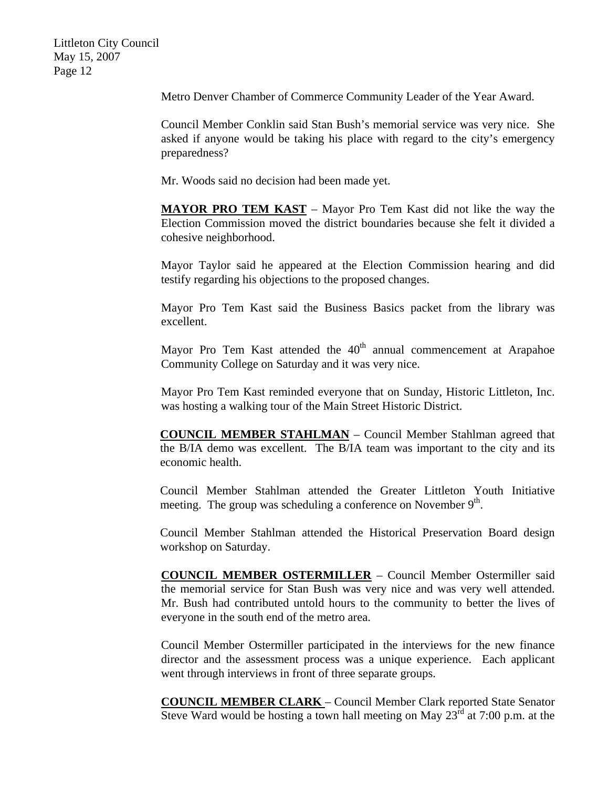Metro Denver Chamber of Commerce Community Leader of the Year Award.

Council Member Conklin said Stan Bush's memorial service was very nice. She asked if anyone would be taking his place with regard to the city's emergency preparedness?

Mr. Woods said no decision had been made yet.

**MAYOR PRO TEM KAST** – Mayor Pro Tem Kast did not like the way the Election Commission moved the district boundaries because she felt it divided a cohesive neighborhood.

Mayor Taylor said he appeared at the Election Commission hearing and did testify regarding his objections to the proposed changes.

Mayor Pro Tem Kast said the Business Basics packet from the library was excellent.

Mayor Pro Tem Kast attended the  $40<sup>th</sup>$  annual commencement at Arapahoe Community College on Saturday and it was very nice.

Mayor Pro Tem Kast reminded everyone that on Sunday, Historic Littleton, Inc. was hosting a walking tour of the Main Street Historic District.

**COUNCIL MEMBER STAHLMAN** – Council Member Stahlman agreed that the B/IA demo was excellent. The B/IA team was important to the city and its economic health.

Council Member Stahlman attended the Greater Littleton Youth Initiative meeting. The group was scheduling a conference on November  $9<sup>th</sup>$ .

Council Member Stahlman attended the Historical Preservation Board design workshop on Saturday.

**COUNCIL MEMBER OSTERMILLER** – Council Member Ostermiller said the memorial service for Stan Bush was very nice and was very well attended. Mr. Bush had contributed untold hours to the community to better the lives of everyone in the south end of the metro area.

Council Member Ostermiller participated in the interviews for the new finance director and the assessment process was a unique experience. Each applicant went through interviews in front of three separate groups.

**COUNCIL MEMBER CLARK** – Council Member Clark reported State Senator Steve Ward would be hosting a town hall meeting on May  $23<sup>rd</sup>$  at 7:00 p.m. at the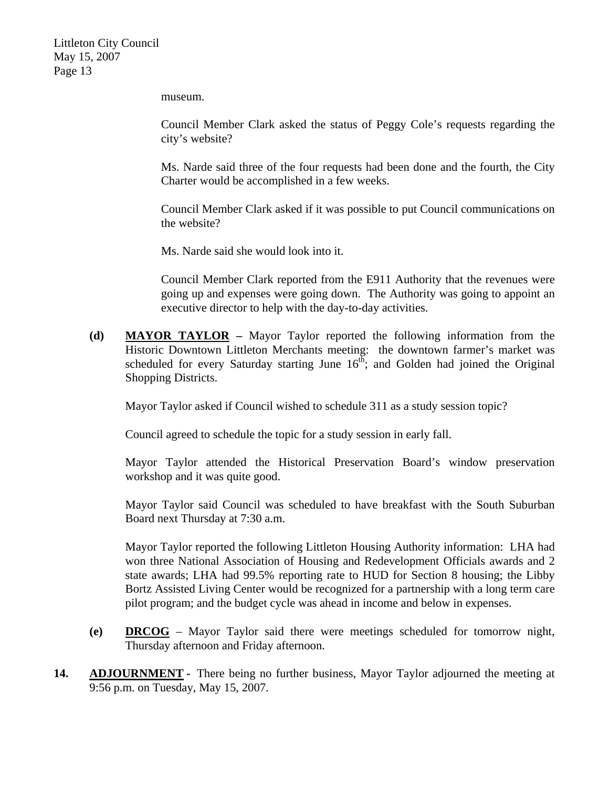museum.

Council Member Clark asked the status of Peggy Cole's requests regarding the city's website?

Ms. Narde said three of the four requests had been done and the fourth, the City Charter would be accomplished in a few weeks.

Council Member Clark asked if it was possible to put Council communications on the website?

Ms. Narde said she would look into it.

Council Member Clark reported from the E911 Authority that the revenues were going up and expenses were going down. The Authority was going to appoint an executive director to help with the day-to-day activities.

**(d) MAYOR TAYLOR –** Mayor Taylor reported the following information from the Historic Downtown Littleton Merchants meeting: the downtown farmer's market was scheduled for every Saturday starting June  $16<sup>th</sup>$ ; and Golden had joined the Original Shopping Districts.

Mayor Taylor asked if Council wished to schedule 311 as a study session topic?

Council agreed to schedule the topic for a study session in early fall.

Mayor Taylor attended the Historical Preservation Board's window preservation workshop and it was quite good.

Mayor Taylor said Council was scheduled to have breakfast with the South Suburban Board next Thursday at 7:30 a.m.

Mayor Taylor reported the following Littleton Housing Authority information: LHA had won three National Association of Housing and Redevelopment Officials awards and 2 state awards; LHA had 99.5% reporting rate to HUD for Section 8 housing; the Libby Bortz Assisted Living Center would be recognized for a partnership with a long term care pilot program; and the budget cycle was ahead in income and below in expenses.

- **(e) DRCOG** Mayor Taylor said there were meetings scheduled for tomorrow night, Thursday afternoon and Friday afternoon.
- **14. ADJOURNMENT -** There being no further business, Mayor Taylor adjourned the meeting at 9:56 p.m. on Tuesday, May 15, 2007.